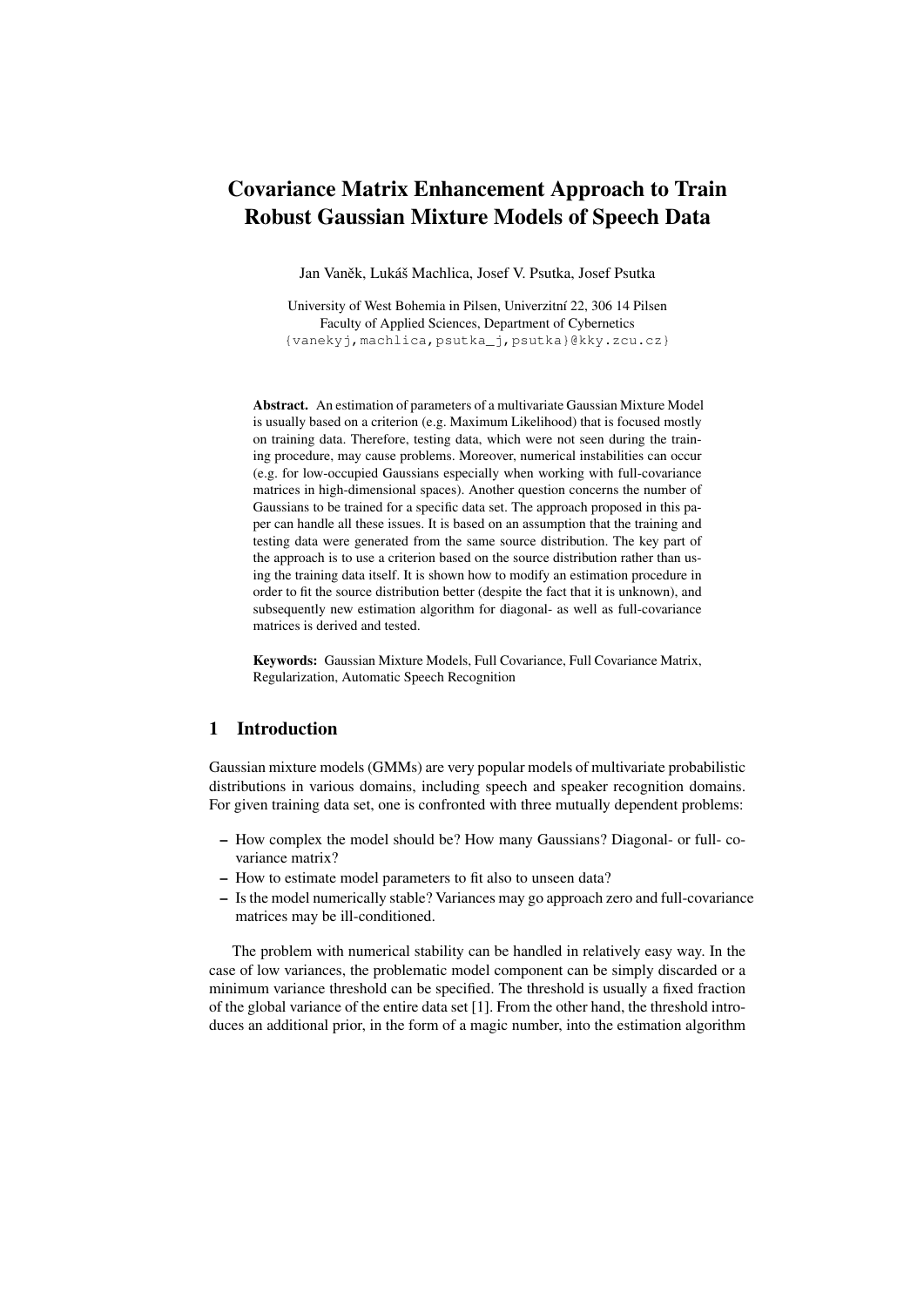# Covariance Matrix Enhancement Approach to Train Robust Gaussian Mixture Models of Speech Data

Jan Vaněk, Lukáš Machlica, Josef V. Psutka, Josef Psutka

University of West Bohemia in Pilsen, Univerzitní 22, 306 14 Pilsen Faculty of Applied Sciences, Department of Cybernetics {vanekyj,machlica,psutka\_j,psutka}@kky.zcu.cz}

Abstract. An estimation of parameters of a multivariate Gaussian Mixture Model is usually based on a criterion (e.g. Maximum Likelihood) that is focused mostly on training data. Therefore, testing data, which were not seen during the training procedure, may cause problems. Moreover, numerical instabilities can occur (e.g. for low-occupied Gaussians especially when working with full-covariance matrices in high-dimensional spaces). Another question concerns the number of Gaussians to be trained for a specific data set. The approach proposed in this paper can handle all these issues. It is based on an assumption that the training and testing data were generated from the same source distribution. The key part of the approach is to use a criterion based on the source distribution rather than using the training data itself. It is shown how to modify an estimation procedure in order to fit the source distribution better (despite the fact that it is unknown), and subsequently new estimation algorithm for diagonal- as well as full-covariance matrices is derived and tested.

Keywords: Gaussian Mixture Models, Full Covariance, Full Covariance Matrix, Regularization, Automatic Speech Recognition

# 1 Introduction

Gaussian mixture models (GMMs) are very popular models of multivariate probabilistic distributions in various domains, including speech and speaker recognition domains. For given training data set, one is confronted with three mutually dependent problems:

- How complex the model should be? How many Gaussians? Diagonal- or full- covariance matrix?
- How to estimate model parameters to fit also to unseen data?
- Is the model numerically stable? Variances may go approach zero and full-covariance matrices may be ill-conditioned.

The problem with numerical stability can be handled in relatively easy way. In the case of low variances, the problematic model component can be simply discarded or a minimum variance threshold can be specified. The threshold is usually a fixed fraction of the global variance of the entire data set [1]. From the other hand, the threshold introduces an additional prior, in the form of a magic number, into the estimation algorithm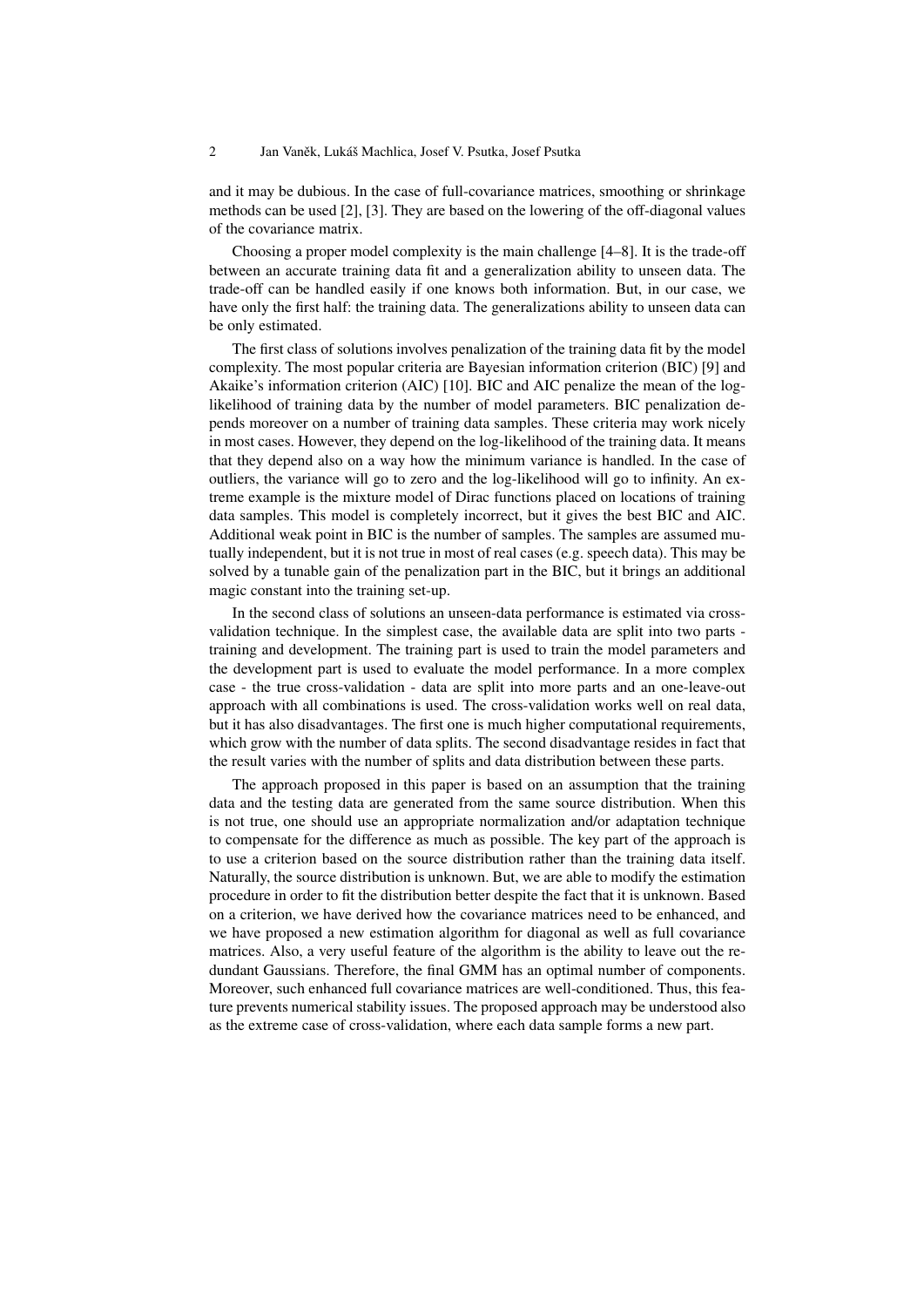and it may be dubious. In the case of full-covariance matrices, smoothing or shrinkage methods can be used [2], [3]. They are based on the lowering of the off-diagonal values of the covariance matrix.

Choosing a proper model complexity is the main challenge [4–8]. It is the trade-off between an accurate training data fit and a generalization ability to unseen data. The trade-off can be handled easily if one knows both information. But, in our case, we have only the first half: the training data. The generalizations ability to unseen data can be only estimated.

The first class of solutions involves penalization of the training data fit by the model complexity. The most popular criteria are Bayesian information criterion (BIC) [9] and Akaike's information criterion (AIC) [10]. BIC and AIC penalize the mean of the loglikelihood of training data by the number of model parameters. BIC penalization depends moreover on a number of training data samples. These criteria may work nicely in most cases. However, they depend on the log-likelihood of the training data. It means that they depend also on a way how the minimum variance is handled. In the case of outliers, the variance will go to zero and the log-likelihood will go to infinity. An extreme example is the mixture model of Dirac functions placed on locations of training data samples. This model is completely incorrect, but it gives the best BIC and AIC. Additional weak point in BIC is the number of samples. The samples are assumed mutually independent, but it is not true in most of real cases (e.g. speech data). This may be solved by a tunable gain of the penalization part in the BIC, but it brings an additional magic constant into the training set-up.

In the second class of solutions an unseen-data performance is estimated via crossvalidation technique. In the simplest case, the available data are split into two parts training and development. The training part is used to train the model parameters and the development part is used to evaluate the model performance. In a more complex case - the true cross-validation - data are split into more parts and an one-leave-out approach with all combinations is used. The cross-validation works well on real data, but it has also disadvantages. The first one is much higher computational requirements, which grow with the number of data splits. The second disadvantage resides in fact that the result varies with the number of splits and data distribution between these parts.

The approach proposed in this paper is based on an assumption that the training data and the testing data are generated from the same source distribution. When this is not true, one should use an appropriate normalization and/or adaptation technique to compensate for the difference as much as possible. The key part of the approach is to use a criterion based on the source distribution rather than the training data itself. Naturally, the source distribution is unknown. But, we are able to modify the estimation procedure in order to fit the distribution better despite the fact that it is unknown. Based on a criterion, we have derived how the covariance matrices need to be enhanced, and we have proposed a new estimation algorithm for diagonal as well as full covariance matrices. Also, a very useful feature of the algorithm is the ability to leave out the redundant Gaussians. Therefore, the final GMM has an optimal number of components. Moreover, such enhanced full covariance matrices are well-conditioned. Thus, this feature prevents numerical stability issues. The proposed approach may be understood also as the extreme case of cross-validation, where each data sample forms a new part.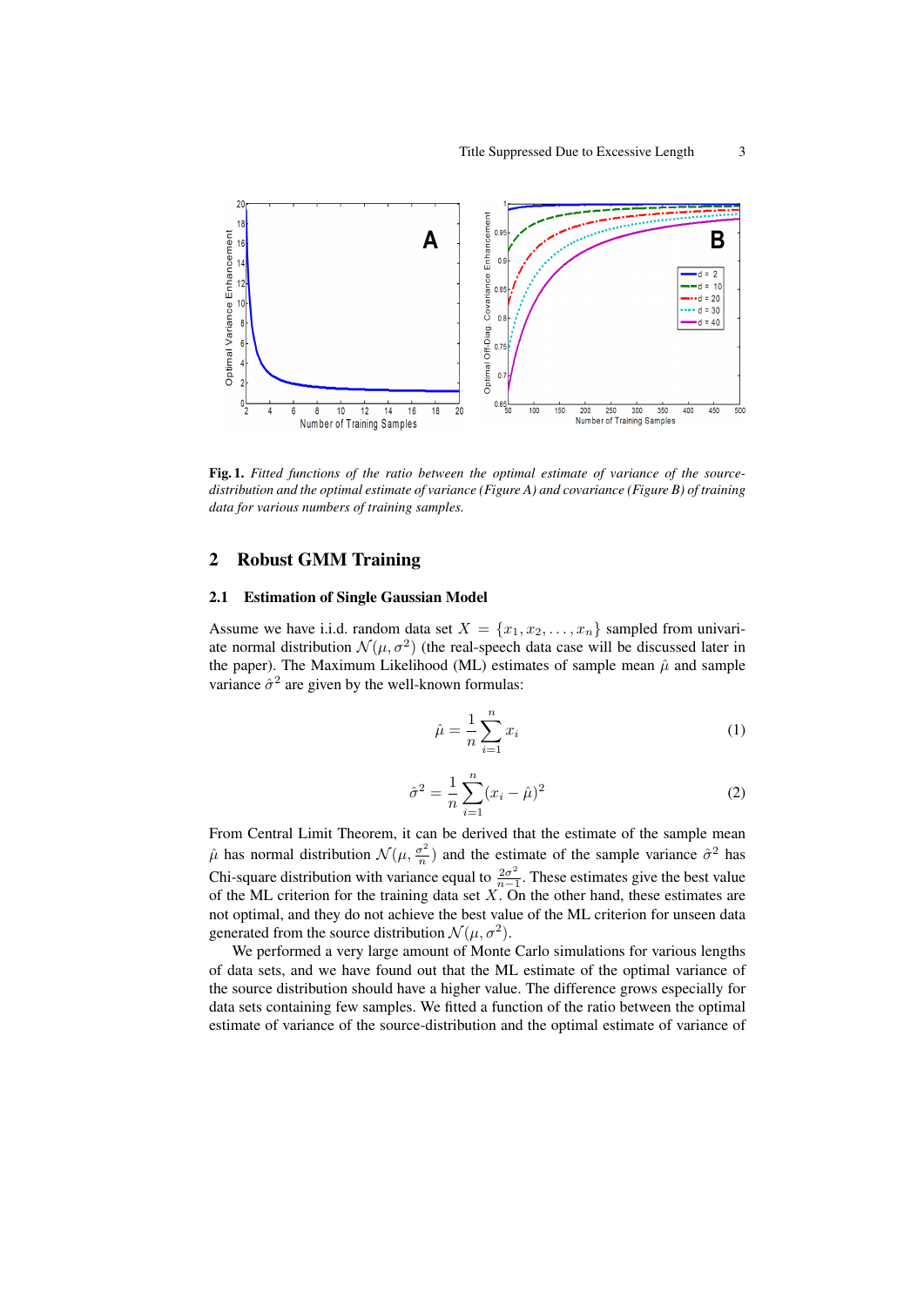

Fig. 1. *Fitted functions of the ratio between the optimal estimate of variance of the sourcedistribution and the optimal estimate of variance (Figure A) and covariance (Figure B) of training data for various numbers of training samples.*

## 2 Robust GMM Training

#### 2.1 Estimation of Single Gaussian Model

Assume we have i.i.d. random data set  $X = \{x_1, x_2, \ldots, x_n\}$  sampled from univariate normal distribution  $\mathcal{N}(\mu, \sigma^2)$  (the real-speech data case will be discussed later in the paper). The Maximum Likelihood (ML) estimates of sample mean  $\hat{\mu}$  and sample variance  $\hat{\sigma}^2$  are given by the well-known formulas:

$$
\hat{\mu} = \frac{1}{n} \sum_{i=1}^{n} x_i \tag{1}
$$

$$
\hat{\sigma}^2 = \frac{1}{n} \sum_{i=1}^n (x_i - \hat{\mu})^2
$$
 (2)

From Central Limit Theorem, it can be derived that the estimate of the sample mean  $\hat{\mu}$  has normal distribution  $\mathcal{N}(\mu, \frac{\sigma^2}{n})$  $\left(\frac{\sigma^2}{n}\right)$  and the estimate of the sample variance  $\hat{\sigma}^2$  has Chi-square distribution with variance equal to  $\frac{2\sigma^2}{n-1}$  $\frac{2\sigma^2}{n-1}$ . These estimates give the best value of the ML criterion for the training data set  $X$ . On the other hand, these estimates are not optimal, and they do not achieve the best value of the ML criterion for unseen data generated from the source distribution  $\mathcal{N}(\mu, \sigma^2)$ .

We performed a very large amount of Monte Carlo simulations for various lengths of data sets, and we have found out that the ML estimate of the optimal variance of the source distribution should have a higher value. The difference grows especially for data sets containing few samples. We fitted a function of the ratio between the optimal estimate of variance of the source-distribution and the optimal estimate of variance of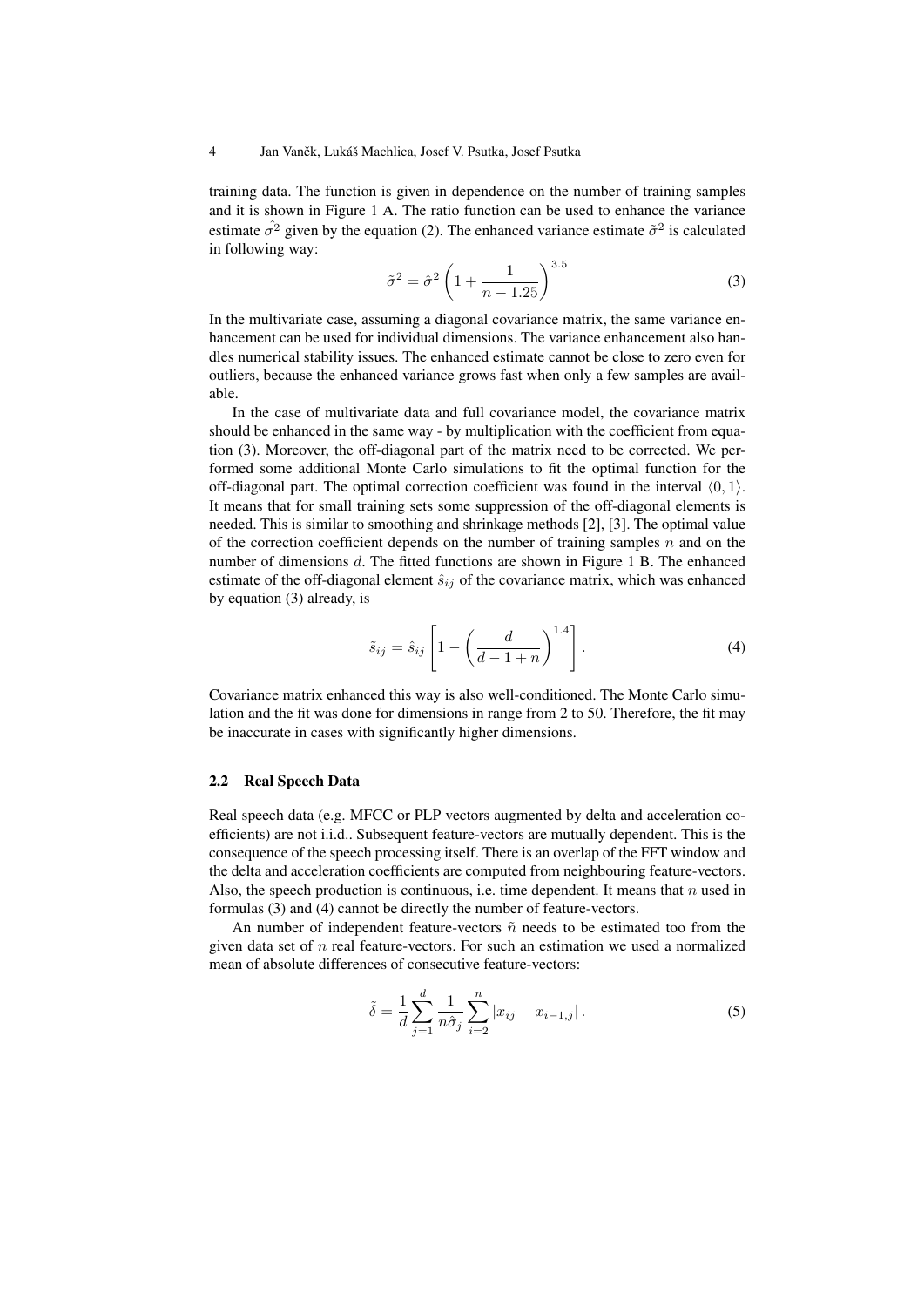training data. The function is given in dependence on the number of training samples and it is shown in Figure 1 A. The ratio function can be used to enhance the variance estimate  $\hat{\sigma}^2$  given by the equation (2). The enhanced variance estimate  $\tilde{\sigma}^2$  is calculated in following way:

$$
\tilde{\sigma}^2 = \hat{\sigma}^2 \left( 1 + \frac{1}{n - 1.25} \right)^{3.5}
$$
 (3)

In the multivariate case, assuming a diagonal covariance matrix, the same variance enhancement can be used for individual dimensions. The variance enhancement also handles numerical stability issues. The enhanced estimate cannot be close to zero even for outliers, because the enhanced variance grows fast when only a few samples are available.

In the case of multivariate data and full covariance model, the covariance matrix should be enhanced in the same way - by multiplication with the coefficient from equation (3). Moreover, the off-diagonal part of the matrix need to be corrected. We performed some additional Monte Carlo simulations to fit the optimal function for the off-diagonal part. The optimal correction coefficient was found in the interval  $\langle 0, 1 \rangle$ . It means that for small training sets some suppression of the off-diagonal elements is needed. This is similar to smoothing and shrinkage methods [2], [3]. The optimal value of the correction coefficient depends on the number of training samples  $n$  and on the number of dimensions  $d$ . The fitted functions are shown in Figure 1 B. The enhanced estimate of the off-diagonal element  $\hat{s}_{ij}$  of the covariance matrix, which was enhanced by equation (3) already, is

$$
\tilde{s}_{ij} = \hat{s}_{ij} \left[ 1 - \left( \frac{d}{d - 1 + n} \right)^{1.4} \right]. \tag{4}
$$

Covariance matrix enhanced this way is also well-conditioned. The Monte Carlo simulation and the fit was done for dimensions in range from 2 to 50. Therefore, the fit may be inaccurate in cases with significantly higher dimensions.

#### 2.2 Real Speech Data

Real speech data (e.g. MFCC or PLP vectors augmented by delta and acceleration coefficients) are not i.i.d.. Subsequent feature-vectors are mutually dependent. This is the consequence of the speech processing itself. There is an overlap of the FFT window and the delta and acceleration coefficients are computed from neighbouring feature-vectors. Also, the speech production is continuous, i.e. time dependent. It means that  $n$  used in formulas (3) and (4) cannot be directly the number of feature-vectors.

An number of independent feature-vectors  $\tilde{n}$  needs to be estimated too from the given data set of  $n$  real feature-vectors. For such an estimation we used a normalized mean of absolute differences of consecutive feature-vectors:

$$
\tilde{\delta} = \frac{1}{d} \sum_{j=1}^{d} \frac{1}{n \hat{\sigma}_j} \sum_{i=2}^{n} |x_{ij} - x_{i-1,j}|.
$$
 (5)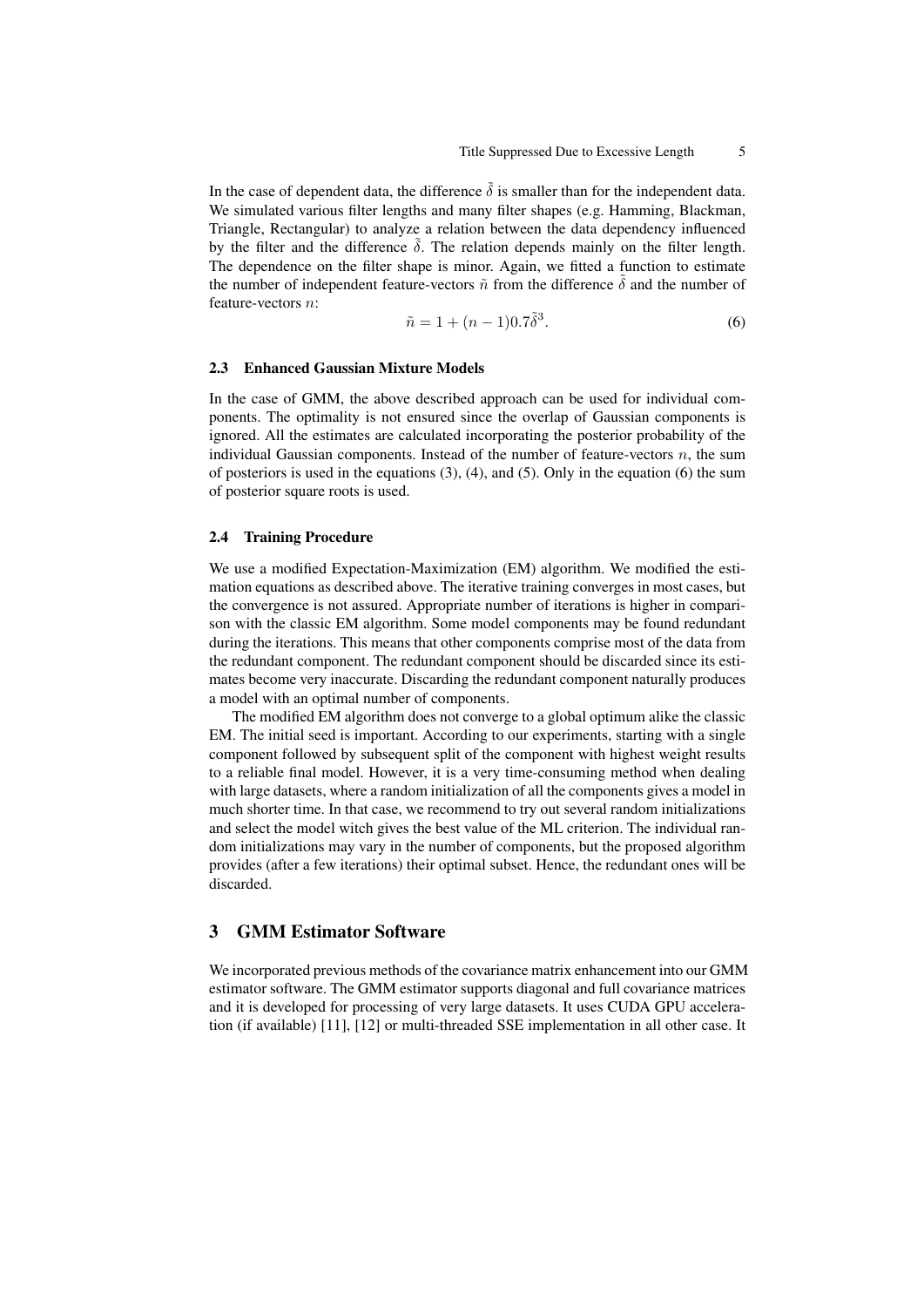In the case of dependent data, the difference  $\delta$  is smaller than for the independent data. We simulated various filter lengths and many filter shapes (e.g. Hamming, Blackman, Triangle, Rectangular) to analyze a relation between the data dependency influenced by the filter and the difference  $\delta$ . The relation depends mainly on the filter length. The dependence on the filter shape is minor. Again, we fitted a function to estimate the number of independent feature-vectors  $\tilde{n}$  from the difference  $\tilde{\delta}$  and the number of feature-vectors n:

$$
\tilde{n} = 1 + (n - 1)0.7\tilde{\delta}^3. \tag{6}
$$

#### 2.3 Enhanced Gaussian Mixture Models

In the case of GMM, the above described approach can be used for individual components. The optimality is not ensured since the overlap of Gaussian components is ignored. All the estimates are calculated incorporating the posterior probability of the individual Gaussian components. Instead of the number of feature-vectors  $n$ , the sum of posteriors is used in the equations (3), (4), and (5). Only in the equation (6) the sum of posterior square roots is used.

### 2.4 Training Procedure

We use a modified Expectation-Maximization (EM) algorithm. We modified the estimation equations as described above. The iterative training converges in most cases, but the convergence is not assured. Appropriate number of iterations is higher in comparison with the classic EM algorithm. Some model components may be found redundant during the iterations. This means that other components comprise most of the data from the redundant component. The redundant component should be discarded since its estimates become very inaccurate. Discarding the redundant component naturally produces a model with an optimal number of components.

The modified EM algorithm does not converge to a global optimum alike the classic EM. The initial seed is important. According to our experiments, starting with a single component followed by subsequent split of the component with highest weight results to a reliable final model. However, it is a very time-consuming method when dealing with large datasets, where a random initialization of all the components gives a model in much shorter time. In that case, we recommend to try out several random initializations and select the model witch gives the best value of the ML criterion. The individual random initializations may vary in the number of components, but the proposed algorithm provides (after a few iterations) their optimal subset. Hence, the redundant ones will be discarded.

## 3 GMM Estimator Software

We incorporated previous methods of the covariance matrix enhancement into our GMM estimator software. The GMM estimator supports diagonal and full covariance matrices and it is developed for processing of very large datasets. It uses CUDA GPU acceleration (if available) [11], [12] or multi-threaded SSE implementation in all other case. It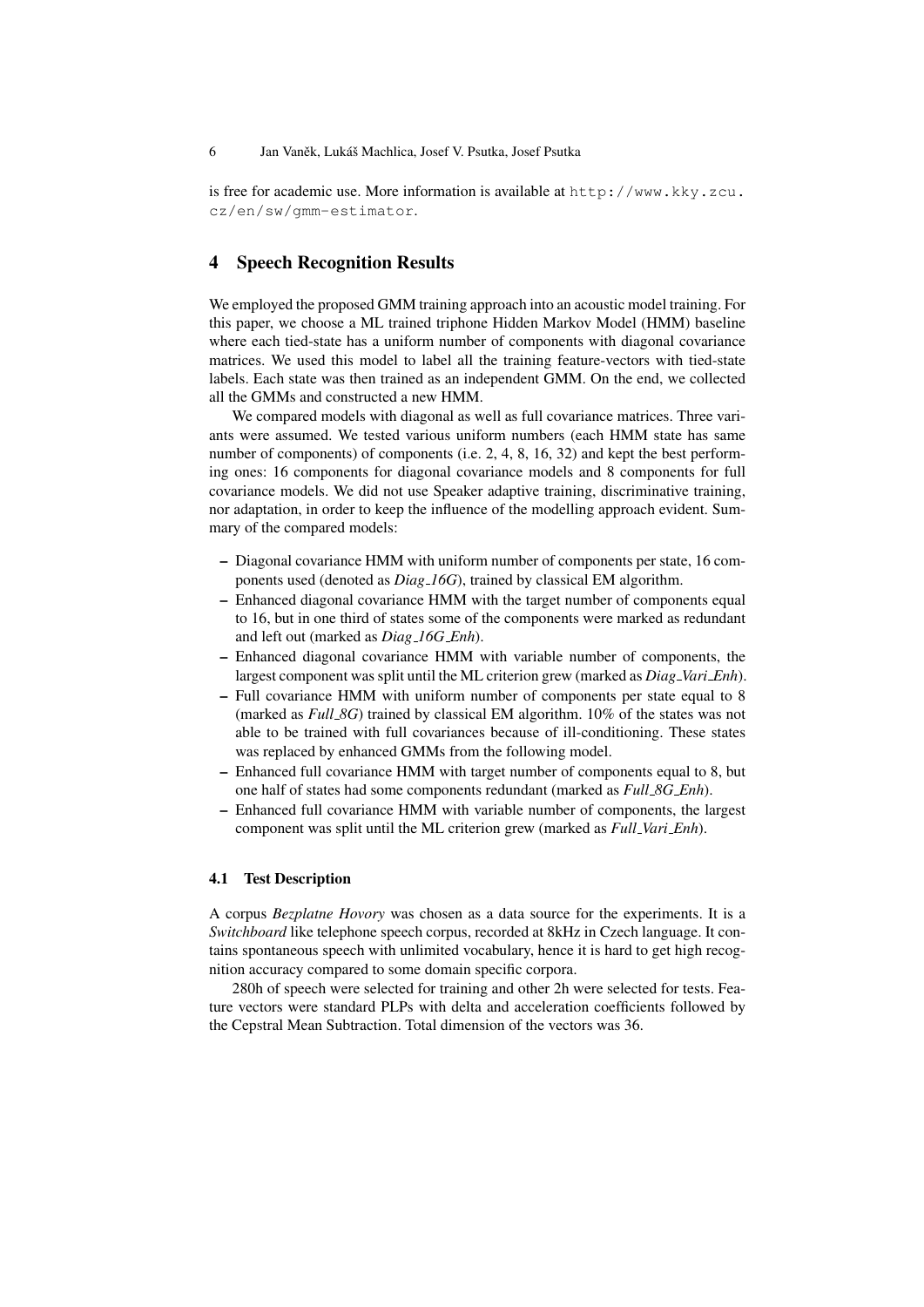#### 6 Jan Vaněk, Lukáš Machlica, Josef V. Psutka, Josef Psutka

is free for academic use. More information is available at http://www.kky.zcu. cz/en/sw/gmm-estimator.

# 4 Speech Recognition Results

We employed the proposed GMM training approach into an acoustic model training. For this paper, we choose a ML trained triphone Hidden Markov Model (HMM) baseline where each tied-state has a uniform number of components with diagonal covariance matrices. We used this model to label all the training feature-vectors with tied-state labels. Each state was then trained as an independent GMM. On the end, we collected all the GMMs and constructed a new HMM.

We compared models with diagonal as well as full covariance matrices. Three variants were assumed. We tested various uniform numbers (each HMM state has same number of components) of components (i.e. 2, 4, 8, 16, 32) and kept the best performing ones: 16 components for diagonal covariance models and 8 components for full covariance models. We did not use Speaker adaptive training, discriminative training, nor adaptation, in order to keep the influence of the modelling approach evident. Summary of the compared models:

- Diagonal covariance HMM with uniform number of components per state, 16 components used (denoted as *Diag 16G*), trained by classical EM algorithm.
- Enhanced diagonal covariance HMM with the target number of components equal to 16, but in one third of states some of the components were marked as redundant and left out (marked as *Diag 16G Enh*).
- Enhanced diagonal covariance HMM with variable number of components, the largest component was split until the ML criterion grew (marked as *Diag Vari Enh*).
- Full covariance HMM with uniform number of components per state equal to 8 (marked as *Full 8G*) trained by classical EM algorithm. 10% of the states was not able to be trained with full covariances because of ill-conditioning. These states was replaced by enhanced GMMs from the following model.
- Enhanced full covariance HMM with target number of components equal to 8, but one half of states had some components redundant (marked as *Full 8G Enh*).
- Enhanced full covariance HMM with variable number of components, the largest component was split until the ML criterion grew (marked as *Full Vari Enh*).

#### 4.1 Test Description

A corpus *Bezplatne Hovory* was chosen as a data source for the experiments. It is a *Switchboard* like telephone speech corpus, recorded at 8kHz in Czech language. It contains spontaneous speech with unlimited vocabulary, hence it is hard to get high recognition accuracy compared to some domain specific corpora.

280h of speech were selected for training and other 2h were selected for tests. Feature vectors were standard PLPs with delta and acceleration coefficients followed by the Cepstral Mean Subtraction. Total dimension of the vectors was 36.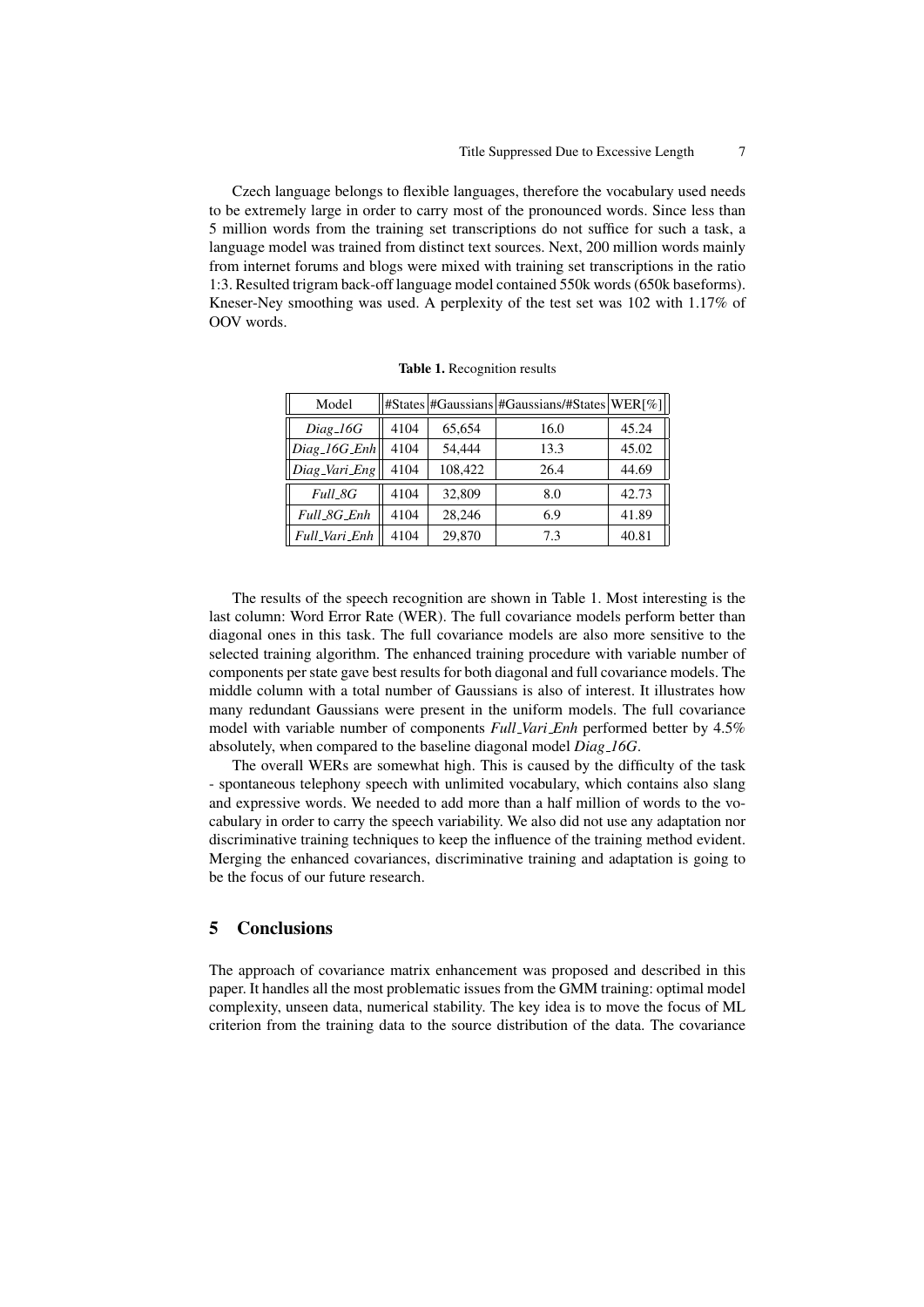Czech language belongs to flexible languages, therefore the vocabulary used needs to be extremely large in order to carry most of the pronounced words. Since less than 5 million words from the training set transcriptions do not suffice for such a task, a language model was trained from distinct text sources. Next, 200 million words mainly from internet forums and blogs were mixed with training set transcriptions in the ratio 1:3. Resulted trigram back-off language model contained 550k words (650k baseforms). Kneser-Ney smoothing was used. A perplexity of the test set was 102 with 1.17% of OOV words.

| Model               |      |         | #States #Gaussians #Gaussians/#States WER[%] |       |
|---------------------|------|---------|----------------------------------------------|-------|
| $Diag_16G$          | 4104 | 65,654  | 16.0                                         | 45.24 |
| $Diag_16G_Enh$      | 4104 | 54.444  | 13.3                                         | 45.02 |
| $ Diag_Wari_{Eng} $ | 4104 | 108,422 | 26.4                                         | 44.69 |
| Full_8G             | 4104 | 32,809  | 8.0                                          | 42.73 |
| Full_8G_Enh         | 4104 | 28.246  | 6.9                                          | 41.89 |
| Full_Vari_Enh       | 4104 | 29,870  | 7.3                                          | 40.81 |

Table 1. Recognition results

The results of the speech recognition are shown in Table 1. Most interesting is the last column: Word Error Rate (WER). The full covariance models perform better than diagonal ones in this task. The full covariance models are also more sensitive to the selected training algorithm. The enhanced training procedure with variable number of components per state gave best results for both diagonal and full covariance models. The middle column with a total number of Gaussians is also of interest. It illustrates how many redundant Gaussians were present in the uniform models. The full covariance model with variable number of components *Full Vari Enh* performed better by 4.5% absolutely, when compared to the baseline diagonal model *Diag 16G*.

The overall WERs are somewhat high. This is caused by the difficulty of the task - spontaneous telephony speech with unlimited vocabulary, which contains also slang and expressive words. We needed to add more than a half million of words to the vocabulary in order to carry the speech variability. We also did not use any adaptation nor discriminative training techniques to keep the influence of the training method evident. Merging the enhanced covariances, discriminative training and adaptation is going to be the focus of our future research.

## 5 Conclusions

The approach of covariance matrix enhancement was proposed and described in this paper. It handles all the most problematic issues from the GMM training: optimal model complexity, unseen data, numerical stability. The key idea is to move the focus of ML criterion from the training data to the source distribution of the data. The covariance